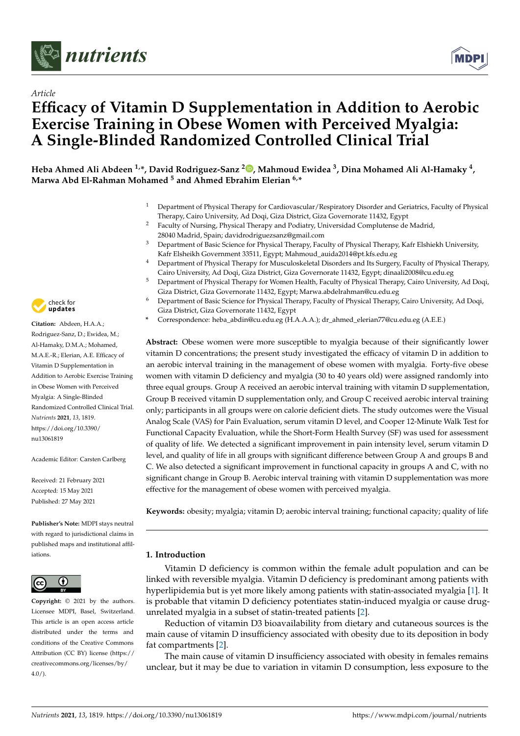



# *Article* **Efficacy of Vitamin D Supplementation in Addition to Aerobic Exercise Training in Obese Women with Perceived Myalgia: A Single-Blinded Randomized Controlled Clinical Trial**

**Heba Ahmed Ali Abdeen 1,\*, David Rodriguez-Sanz <sup>2</sup> [,](https://orcid.org/0000-0002-3629-6590) Mahmoud Ewidea <sup>3</sup> , Dina Mohamed Ali Al-Hamaky <sup>4</sup> , Marwa Abd El-Rahman Mohamed <sup>5</sup> and Ahmed Ebrahim Elerian 6,\***

- <sup>1</sup> Department of Physical Therapy for Cardiovascular/Respiratory Disorder and Geriatrics, Faculty of Physical Therapy, Cairo University, Ad Doqi, Giza District, Giza Governorate 11432, Egypt
- <sup>2</sup> Faculty of Nursing, Physical Therapy and Podiatry, Universidad Complutense de Madrid, 28040 Madrid, Spain; davidrodriguezsanz@gmail.com
- <sup>3</sup> Department of Basic Science for Physical Therapy, Faculty of Physical Therapy, Kafr Elshiekh University, Kafr Elsheikh Government 33511, Egypt; Mahmoud\_auida2014@pt.kfs.edu.eg
- <sup>4</sup> Department of Physical Therapy for Musculoskeletal Disorders and Its Surgery, Faculty of Physical Therapy, Cairo University, Ad Doqi, Giza District, Giza Governorate 11432, Egypt; dinaali2008@cu.edu.eg
- <sup>5</sup> Department of Physical Therapy for Women Health, Faculty of Physical Therapy, Cairo University, Ad Doqi, Giza District, Giza Governorate 11432, Egypt; Marwa.abdelrahman@cu.edu.eg
- <sup>6</sup> Department of Basic Science for Physical Therapy, Faculty of Physical Therapy, Cairo University, Ad Doqi, Giza District, Giza Governorate 11432, Egypt
- **\*** Correspondence: heba\_abdin@cu.edu.eg (H.A.A.A.); dr\_ahmed\_elerian77@cu.edu.eg (A.E.E.)

**Abstract:** Obese women were more susceptible to myalgia because of their significantly lower vitamin D concentrations; the present study investigated the efficacy of vitamin D in addition to an aerobic interval training in the management of obese women with myalgia. Forty-five obese women with vitamin D deficiency and myalgia (30 to 40 years old) were assigned randomly into three equal groups. Group A received an aerobic interval training with vitamin D supplementation, Group B received vitamin D supplementation only, and Group C received aerobic interval training only; participants in all groups were on calorie deficient diets. The study outcomes were the Visual Analog Scale (VAS) for Pain Evaluation, serum vitamin D level, and Cooper 12-Minute Walk Test for Functional Capacity Evaluation, while the Short-Form Health Survey (SF) was used for assessment of quality of life. We detected a significant improvement in pain intensity level, serum vitamin D level, and quality of life in all groups with significant difference between Group A and groups B and C. We also detected a significant improvement in functional capacity in groups A and C, with no significant change in Group B. Aerobic interval training with vitamin D supplementation was more effective for the management of obese women with perceived myalgia.

**Keywords:** obesity; myalgia; vitamin D; aerobic interval training; functional capacity; quality of life

# **1. Introduction**

Vitamin D deficiency is common within the female adult population and can be linked with reversible myalgia. Vitamin D deficiency is predominant among patients with hyperlipidemia but is yet more likely among patients with statin-associated myalgia [\[1\]](#page-9-0). It is probable that vitamin D deficiency potentiates statin-induced myalgia or cause drugunrelated myalgia in a subset of statin-treated patients [\[2\]](#page-10-0).

Reduction of vitamin D3 bioavailability from dietary and cutaneous sources is the main cause of vitamin D insufficiency associated with obesity due to its deposition in body fat compartments [\[2\]](#page-10-0).

The main cause of vitamin D insufficiency associated with obesity in females remains unclear, but it may be due to variation in vitamin D consumption, less exposure to the



**Citation:** Abdeen, H.A.A.; Rodriguez-Sanz, D.; Ewidea, M.; Al-Hamaky, D.M.A.; Mohamed, M.A.E.-R.; Elerian, A.E. Efficacy of Vitamin D Supplementation in Addition to Aerobic Exercise Training in Obese Women with Perceived Myalgia: A Single-Blinded Randomized Controlled Clinical Trial. *Nutrients* **2021**, *13*, 1819. [https://doi.org/10.3390/](https://doi.org/10.3390/nu13061819) [nu13061819](https://doi.org/10.3390/nu13061819)

Academic Editor: Carsten Carlberg

Received: 21 February 2021 Accepted: 15 May 2021 Published: 27 May 2021

**Publisher's Note:** MDPI stays neutral with regard to jurisdictional claims in published maps and institutional affiliations.



**Copyright:** © 2021 by the authors. Licensee MDPI, Basel, Switzerland. This article is an open access article distributed under the terms and conditions of the Creative Commons Attribution (CC BY) license (https:/[/](https://creativecommons.org/licenses/by/4.0/) [creativecommons.org/licenses/by/](https://creativecommons.org/licenses/by/4.0/)  $4.0/$ ).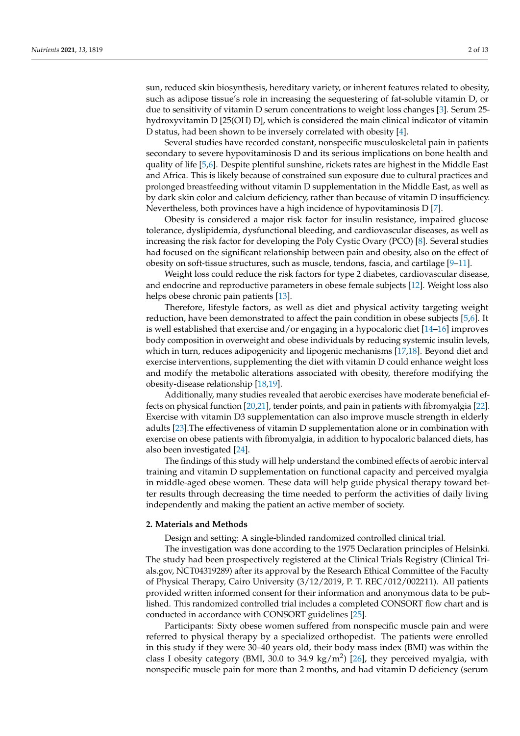sun, reduced skin biosynthesis, hereditary variety, or inherent features related to obesity, such as adipose tissue's role in increasing the sequestering of fat-soluble vitamin D, or due to sensitivity of vitamin D serum concentrations to weight loss changes [\[3\]](#page-10-1). Serum 25 hydroxyvitamin D [25(OH) D], which is considered the main clinical indicator of vitamin D status, had been shown to be inversely correlated with obesity [\[4\]](#page-10-2).

Several studies have recorded constant, nonspecific musculoskeletal pain in patients secondary to severe hypovitaminosis D and its serious implications on bone health and quality of life [\[5](#page-10-3)[,6\]](#page-10-4). Despite plentiful sunshine, rickets rates are highest in the Middle East and Africa. This is likely because of constrained sun exposure due to cultural practices and prolonged breastfeeding without vitamin D supplementation in the Middle East, as well as by dark skin color and calcium deficiency, rather than because of vitamin D insufficiency. Nevertheless, both provinces have a high incidence of hypovitaminosis D [\[7\]](#page-10-5).

Obesity is considered a major risk factor for insulin resistance, impaired glucose tolerance, dyslipidemia, dysfunctional bleeding, and cardiovascular diseases, as well as increasing the risk factor for developing the Poly Cystic Ovary (PCO) [\[8\]](#page-10-6). Several studies had focused on the significant relationship between pain and obesity, also on the effect of obesity on soft-tissue structures, such as muscle, tendons, fascia, and cartilage [\[9–](#page-10-7)[11\]](#page-10-8).

Weight loss could reduce the risk factors for type 2 diabetes, cardiovascular disease, and endocrine and reproductive parameters in obese female subjects [\[12\]](#page-10-9). Weight loss also helps obese chronic pain patients [\[13\]](#page-10-10).

Therefore, lifestyle factors, as well as diet and physical activity targeting weight reduction, have been demonstrated to affect the pain condition in obese subjects [\[5,](#page-10-3)[6\]](#page-10-4). It is well established that exercise and/or engaging in a hypocaloric diet [\[14](#page-10-11)[–16\]](#page-10-12) improves body composition in overweight and obese individuals by reducing systemic insulin levels, which in turn, reduces adipogenicity and lipogenic mechanisms [\[17,](#page-10-13)[18\]](#page-10-14). Beyond diet and exercise interventions, supplementing the diet with vitamin D could enhance weight loss and modify the metabolic alterations associated with obesity, therefore modifying the obesity-disease relationship [\[18,](#page-10-14)[19\]](#page-10-15).

Additionally, many studies revealed that aerobic exercises have moderate beneficial effects on physical function [\[20](#page-10-16)[,21\]](#page-10-17), tender points, and pain in patients with fibromyalgia [\[22\]](#page-10-18). Exercise with vitamin D3 supplementation can also improve muscle strength in elderly adults [\[23\]](#page-10-19).The effectiveness of vitamin D supplementation alone or in combination with exercise on obese patients with fibromyalgia, in addition to hypocaloric balanced diets, has also been investigated [\[24\]](#page-10-20).

The findings of this study will help understand the combined effects of aerobic interval training and vitamin D supplementation on functional capacity and perceived myalgia in middle-aged obese women. These data will help guide physical therapy toward better results through decreasing the time needed to perform the activities of daily living independently and making the patient an active member of society.

#### **2. Materials and Methods**

Design and setting: A single-blinded randomized controlled clinical trial.

The investigation was done according to the 1975 Declaration principles of Helsinki. The study had been prospectively registered at the Clinical Trials Registry (Clinical Trials.gov, NCT04319289) after its approval by the Research Ethical Committee of the Faculty of Physical Therapy, Cairo University (3/12/2019, P. T. REC/012/002211). All patients provided written informed consent for their information and anonymous data to be published. This randomized controlled trial includes a completed CONSORT flow chart and is conducted in accordance with CONSORT guidelines [\[25\]](#page-10-21).

Participants: Sixty obese women suffered from nonspecific muscle pain and were referred to physical therapy by a specialized orthopedist. The patients were enrolled in this study if they were 30–40 years old, their body mass index (BMI) was within the class I obesity category (BMI, 30.0 to 34.9 kg/m<sup>2</sup>) [\[26\]](#page-10-22), they perceived myalgia, with nonspecific muscle pain for more than 2 months, and had vitamin D deficiency (serum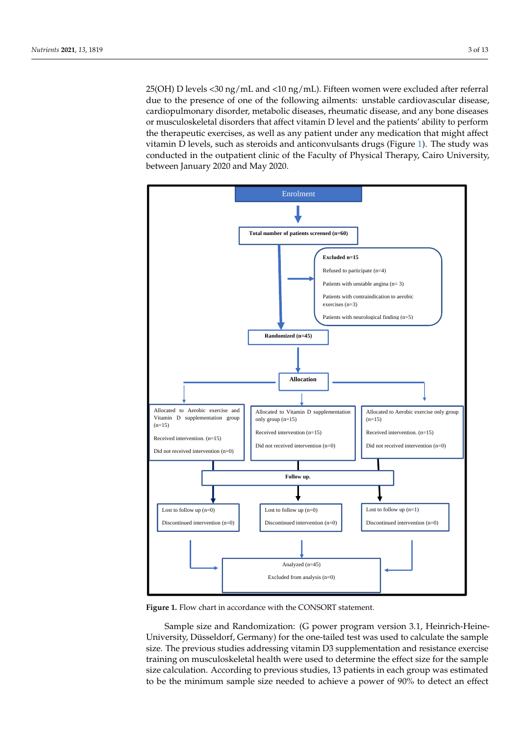25(OH) D levels <30 ng/mL and <10 ng/mL). Fifteen women were excluded after referral due to the presence of one of the following ailments: unstable cardiovascular disease, cardiopulmonary disorder, metabolic diseases, rheumatic disease, and any bone diseases or musculoskeletal disorders that affect vitamin D level and the patients' ability to perform the therapeutic exercises, as well as any patient under any medication that might affect vitamin D levels, such as steroids and anticonvulsants drugs (Figure [1\)](#page-2-0). The study was conducted in the outpatient clinic of the Faculty of Physical Therapy, Cairo University, between January 2020 and May 2020. uary 2020 and May 2020.  $\frac{1}{200}$  and  $\frac{1}{200}$  and  $\frac{1}{200}$  and  $\frac{1}{200}$  ,  $\frac{1}{200}$  ,  $\frac{1}{200}$  ,  $\frac{1}{200}$ 

<span id="page-2-0"></span>

**Figure 1.** Flow chart in accordance with the CONSORT statement**. Figure 1.** Flow chart in accordance with the CONSORT statement.

Sample size and Randomization: (G power program version 3.1, Heinrich-Heine-University, Düsseldorf, Germany) for the one-tailed test was used to calculate the sample size. The previous studies addressing vitamin D3 supplementation and resistance exercise training on musculoskeletal health were used to determine the effect size for the sample size calculation. According to previous studies, 13 patients in each group was estimated to be the minimum sample size needed to achieve a power of 90% to detect an effect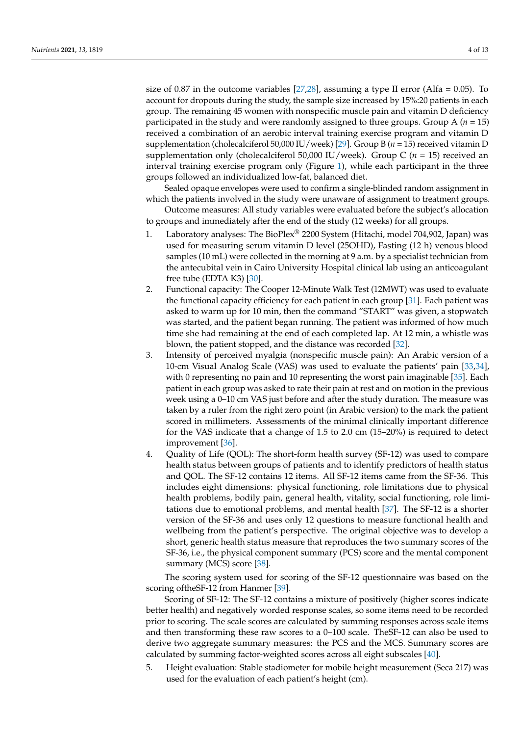size of 0.87 in the outcome variables  $[27,28]$  $[27,28]$ , assuming a type II error (Alfa = 0.05). To account for dropouts during the study, the sample size increased by 15%:20 patients in each group. The remaining 45 women with nonspecific muscle pain and vitamin D deficiency participated in the study and were randomly assigned to three groups. Group  $A(n = 15)$ received a combination of an aerobic interval training exercise program and vitamin D supplementation (cholecalciferol 50,000 IU/week) [\[29\]](#page-11-0). Group B (*n* = 15) received vitamin D supplementation only (cholecalciferol 50,000 IU/week). Group C (*n* = 15) received an interval training exercise program only (Figure [1\)](#page-2-0), while each participant in the three groups followed an individualized low-fat, balanced diet.

Sealed opaque envelopes were used to confirm a single-blinded random assignment in which the patients involved in the study were unaware of assignment to treatment groups.

Outcome measures: All study variables were evaluated before the subject's allocation to groups and immediately after the end of the study (12 weeks) for all groups.

- 1. Laboratory analyses: The BioPlex® 2200 System (Hitachi, model 704,902, Japan) was used for measuring serum vitamin D level (25OHD), Fasting (12 h) venous blood samples (10 mL) were collected in the morning at 9 a.m. by a specialist technician from the antecubital vein in Cairo University Hospital clinical lab using an anticoagulant free tube (EDTA K3)  $[30]$ .
- 2. Functional capacity: The Cooper 12-Minute Walk Test (12MWT) was used to evaluate the functional capacity efficiency for each patient in each group [\[31\]](#page-11-2). Each patient was asked to warm up for 10 min, then the command "START" was given, a stopwatch was started, and the patient began running. The patient was informed of how much time she had remaining at the end of each completed lap. At 12 min, a whistle was blown, the patient stopped, and the distance was recorded [\[32\]](#page-11-3).
- 3. Intensity of perceived myalgia (nonspecific muscle pain): An Arabic version of a 10-cm Visual Analog Scale (VAS) was used to evaluate the patients' pain [\[33,](#page-11-4)[34\]](#page-11-5), with 0 representing no pain and 10 representing the worst pain imaginable [\[35\]](#page-11-6). Each patient in each group was asked to rate their pain at rest and on motion in the previous week using a 0–10 cm VAS just before and after the study duration. The measure was taken by a ruler from the right zero point (in Arabic version) to the mark the patient scored in millimeters. Assessments of the minimal clinically important difference for the VAS indicate that a change of 1.5 to 2.0 cm (15–20%) is required to detect improvement [\[36\]](#page-11-7).
- 4. Quality of Life (QOL): The short-form health survey (SF-12) was used to compare health status between groups of patients and to identify predictors of health status and QOL. The SF-12 contains 12 items. All SF-12 items came from the SF-36. This includes eight dimensions: physical functioning, role limitations due to physical health problems, bodily pain, general health, vitality, social functioning, role limitations due to emotional problems, and mental health [\[37\]](#page-11-8). The SF-12 is a shorter version of the SF-36 and uses only 12 questions to measure functional health and wellbeing from the patient's perspective. The original objective was to develop a short, generic health status measure that reproduces the two summary scores of the SF-36, i.e., the physical component summary (PCS) score and the mental component summary (MCS) score [\[38\]](#page-11-9).

The scoring system used for scoring of the SF-12 questionnaire was based on the scoring oftheSF-12 from Hanmer [\[39\]](#page-11-10).

Scoring of SF-12: The SF-12 contains a mixture of positively (higher scores indicate better health) and negatively worded response scales, so some items need to be recorded prior to scoring. The scale scores are calculated by summing responses across scale items and then transforming these raw scores to a 0–100 scale. TheSF-12 can also be used to derive two aggregate summary measures: the PCS and the MCS. Summary scores are calculated by summing factor-weighted scores across all eight subscales [\[40\]](#page-11-11).

5. Height evaluation: Stable stadiometer for mobile height measurement (Seca 217) was used for the evaluation of each patient's height (cm).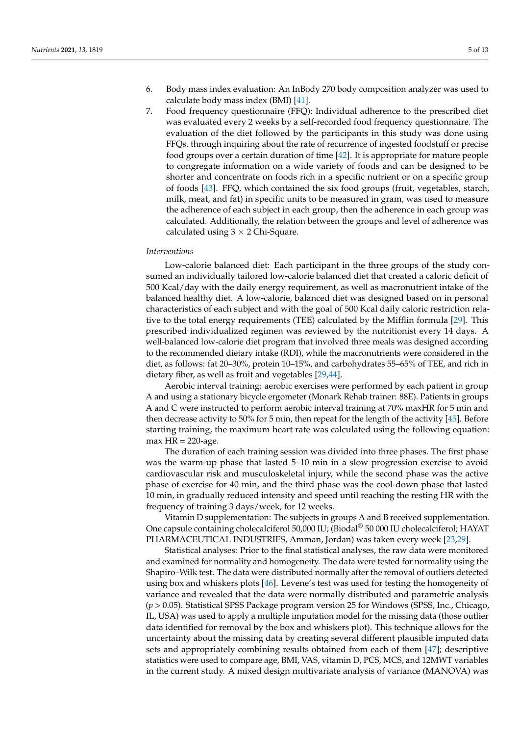- 6. Body mass index evaluation: An InBody 270 body composition analyzer was used to calculate body mass index (BMI) [\[41\]](#page-11-12).
- 7. Food frequency questionnaire (FFQ): Individual adherence to the prescribed diet was evaluated every 2 weeks by a self-recorded food frequency questionnaire. The evaluation of the diet followed by the participants in this study was done using FFQs, through inquiring about the rate of recurrence of ingested foodstuff or precise food groups over a certain duration of time [\[42\]](#page-11-13). It is appropriate for mature people to congregate information on a wide variety of foods and can be designed to be shorter and concentrate on foods rich in a specific nutrient or on a specific group of foods [\[43\]](#page-11-14). FFQ, which contained the six food groups (fruit, vegetables, starch, milk, meat, and fat) in specific units to be measured in gram, was used to measure the adherence of each subject in each group, then the adherence in each group was calculated. Additionally, the relation between the groups and level of adherence was calculated using  $3 \times 2$  Chi-Square.

#### *Interventions*

Low-calorie balanced diet: Each participant in the three groups of the study consumed an individually tailored low-calorie balanced diet that created a caloric deficit of 500 Kcal/day with the daily energy requirement, as well as macronutrient intake of the balanced healthy diet. A low-calorie, balanced diet was designed based on in personal characteristics of each subject and with the goal of 500 Kcal daily caloric restriction relative to the total energy requirements (TEE) calculated by the Mifflin formula [\[29\]](#page-11-0). This prescribed individualized regimen was reviewed by the nutritionist every 14 days. A well-balanced low-calorie diet program that involved three meals was designed according to the recommended dietary intake (RDI), while the macronutrients were considered in the diet, as follows: fat 20–30%, protein 10–15%, and carbohydrates 55–65% of TEE, and rich in dietary fiber, as well as fruit and vegetables [\[29](#page-11-0)[,44\]](#page-11-15).

Aerobic interval training: aerobic exercises were performed by each patient in group A and using a stationary bicycle ergometer (Monark Rehab trainer: 88E). Patients in groups A and C were instructed to perform aerobic interval training at 70% maxHR for 5 min and then decrease activity to 50% for 5 min, then repeat for the length of the activity [\[45\]](#page-11-16). Before starting training, the maximum heart rate was calculated using the following equation:  $max$  HR = 220-age.

The duration of each training session was divided into three phases. The first phase was the warm-up phase that lasted 5–10 min in a slow progression exercise to avoid cardiovascular risk and musculoskeletal injury, while the second phase was the active phase of exercise for 40 min, and the third phase was the cool-down phase that lasted 10 min, in gradually reduced intensity and speed until reaching the resting HR with the frequency of training 3 days/week, for 12 weeks.

Vitamin D supplementation: The subjects in groups A and B received supplementation. One capsule containing cholecalciferol 50,000 IU; (Biodal® 50 000 IU cholecalciferol; HAYAT PHARMACEUTICAL INDUSTRIES, Amman, Jordan) was taken every week [\[23,](#page-10-19)[29\]](#page-11-0).

Statistical analyses: Prior to the final statistical analyses, the raw data were monitored and examined for normality and homogeneity. The data were tested for normality using the Shapiro–Wilk test. The data were distributed normally after the removal of outliers detected using box and whiskers plots [\[46\]](#page-11-17). Levene's test was used for testing the homogeneity of variance and revealed that the data were normally distributed and parametric analysis (*p* > 0.05). Statistical SPSS Package program version 25 for Windows (SPSS, Inc., Chicago, IL, USA) was used to apply a multiple imputation model for the missing data (those outlier data identified for removal by the box and whiskers plot). This technique allows for the uncertainty about the missing data by creating several different plausible imputed data sets and appropriately combining results obtained from each of them [\[47\]](#page-11-18); descriptive statistics were used to compare age, BMI, VAS, vitamin D, PCS, MCS, and 12MWT variables in the current study. A mixed design multivariate analysis of variance (MANOVA) was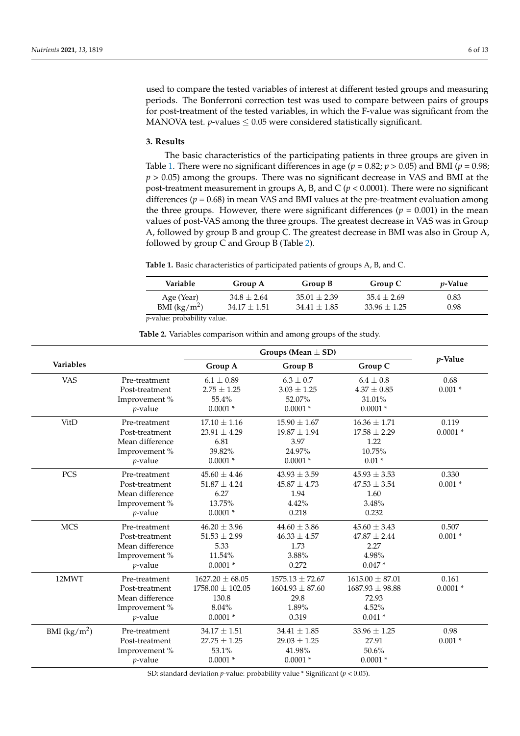used to compare the tested variables of interest at different tested groups and measuring periods. The Bonferroni correction test was used to compare between pairs of groups for post-treatment of the tested variables, in which the F-value was significant from the MANOVA test.  $p$ -values  $\leq 0.05$  were considered statistically significant.

#### **3. Results**

The basic characteristics of the participating patients in three groups are given in Table [1.](#page-5-0) There were no significant differences in age ( $p = 0.82$ ;  $p > 0.05$ ) and BMI ( $p = 0.98$ ; *p* > 0.05) among the groups. There was no significant decrease in VAS and BMI at the post-treatment measurement in groups A, B, and C ( $p < 0.0001$ ). There were no significant differences ( $p = 0.68$ ) in mean VAS and BMI values at the pre-treatment evaluation among the three groups. However, there were significant differences ( $p = 0.001$ ) in the mean values of post-VAS among the three groups. The greatest decrease in VAS was in Group A, followed by group B and group C. The greatest decrease in BMI was also in Group A, followed by group C and Group B (Table [2\)](#page-5-1).

<span id="page-5-0"></span>**Table 1.** Basic characteristics of participated patients of groups A, B, and C.

| Variable                   | Group A        | Group B          | Group C        | <i>p</i> -Value |
|----------------------------|----------------|------------------|----------------|-----------------|
| Age (Year)                 | $34.8 + 2.64$  | $35.01 + 2.39$   | $35.4 + 2.69$  | 0.83            |
| BMI $(kg/m^2)$             | $34.17 + 1.51$ | $34.41 \pm 1.85$ | $33.96 + 1.25$ | 0.98            |
| n yaluo; probability yaluo |                |                  |                |                 |

*p*-value: probability value.

**Table 2.** Variables comparison within and among groups of the study.

<span id="page-5-1"></span>

|               |                 | Groups (Mean $\pm$ SD) |                     |                     |            |
|---------------|-----------------|------------------------|---------------------|---------------------|------------|
| Variables     |                 | Group A                | Group B             | Group C             | $p$ -Value |
| <b>VAS</b>    | Pre-treatment   | $6.1 \pm 0.89$         | $6.3 \pm 0.7$       | $6.4 \pm 0.8$       | 0.68       |
|               | Post-treatment  | $2.75 \pm 1.25$        | $3.03 \pm 1.25$     | $4.37\pm0.85$       | $0.001 *$  |
|               | Improvement%    | 55.4%                  | 52.07%              | 31.01%              |            |
|               | $p$ -value      | $0.0001*$              | $0.0001 *$          | $0.0001*$           |            |
| VitD          | Pre-treatment   | $17.10 \pm 1.16$       | $15.90 \pm 1.67$    | $16.36 \pm 1.71$    | 0.119      |
|               | Post-treatment  | $23.91 \pm 4.29$       | $19.87 \pm 1.94$    | $17.58 \pm 2.29$    | $0.0001*$  |
|               | Mean difference | 6.81                   | 3.97                | 1.22                |            |
|               | Improvement%    | 39.82%                 | 24.97%              | 10.75%              |            |
|               | $p$ -value      | $0.0001*$              | $0.0001*$           | $0.01*$             |            |
| PCS           | Pre-treatment   | $45.60 \pm 4.46$       | $43.93 \pm 3.59$    | $45.93 \pm 3.53$    | 0.330      |
|               | Post-treatment  | $51.87 \pm 4.24$       | $45.87 \pm 4.73$    | $47.53 \pm 3.54$    | $0.001*$   |
|               | Mean difference | 6.27                   | 1.94                | 1.60                |            |
|               | Improvement%    | 13.75%                 | 4.42%               | 3.48%               |            |
|               | $p$ -value      | $0.0001*$              | 0.218               | 0.232               |            |
| <b>MCS</b>    | Pre-treatment   | $46.20 \pm 3.96$       | $44.60 \pm 3.86$    | $45.60 \pm 3.43$    | 0.507      |
|               | Post-treatment  | $51.53 \pm 2.99$       | $46.33 \pm 4.57$    | $47.87 \pm 2.44$    | $0.001*$   |
|               | Mean difference | 5.33                   | 1.73                | 2.27                |            |
|               | Improvement%    | 11.54%                 | 3.88%               | 4.98%               |            |
|               | $p$ -value      | $0.0001*$              | 0.272               | $0.047*$            |            |
| 12MWT         | Pre-treatment   | $1627.20 \pm 68.05$    | $1575.13 \pm 72.67$ | $1615.00 \pm 87.01$ | 0.161      |
|               | Post-treatment  | $1758.00 \pm 102.05$   | $1604.93 \pm 87.60$ | $1687.93 \pm 98.88$ | $0.0001*$  |
|               | Mean difference | 130.8                  | 29.8                | 72.93               |            |
|               | Improvement%    | 8.04%                  | 1.89%               | 4.52%               |            |
|               | $p$ -value      | $0.0001*$              | 0.319               | $0.041*$            |            |
| BMI $(kg/m2)$ | Pre-treatment   | $34.17 \pm 1.51$       | $34.41 \pm 1.85$    | $33.96 \pm 1.25$    | 0.98       |
|               | Post-treatment  | $27.75 \pm 1.25$       | $29.03 \pm 1.25$    | 27.91               | $0.001 *$  |
|               | Improvement %   | 53.1%                  | 41.98%              | 50.6%               |            |
|               | $p$ -value      | $0.0001*$              | $0.0001*$           | $0.0001*$           |            |

SD: standard deviation *p*-value: probability value \* Significant (*p* < 0.05).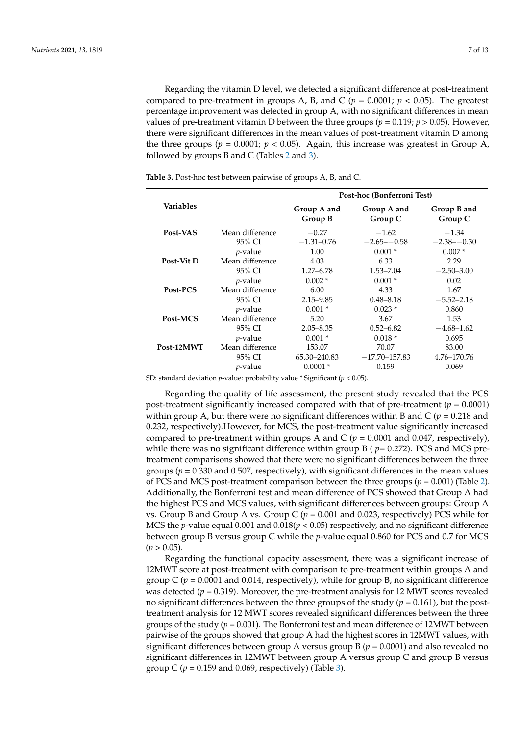Regarding the vitamin D level, we detected a significant difference at post-treatment compared to pre-treatment in groups A, B, and C ( $p = 0.0001$ ;  $p < 0.05$ ). The greatest percentage improvement was detected in group A, with no significant differences in mean values of pre-treatment vitamin D between the three groups ( $p = 0.119$ ;  $p > 0.05$ ). However, there were significant differences in the mean values of post-treatment vitamin D among the three groups ( $p = 0.0001$ ;  $p < 0.05$ ). Again, this increase was greatest in Group A, followed by groups B and C (Tables [2](#page-5-1) and [3\)](#page-6-0).

|                  |                 | Post-hoc (Bonferroni Test) |                        |                        |  |
|------------------|-----------------|----------------------------|------------------------|------------------------|--|
| <b>Variables</b> |                 | Group A and<br>Group B     | Group A and<br>Group C | Group B and<br>Group C |  |
| Post-VAS         | Mean difference | $-0.27$                    | $-1.62$                | $-1.34$                |  |
|                  | 95% CI          | $-1.31 - 0.76$             | $-2.65 - -0.58$        | $-2.38 - -0.30$        |  |
|                  | $p$ -value      | 1.00                       | $0.001*$               | $0.007*$               |  |
| Post-Vit D       | Mean difference | 4.03                       | 6.33                   | 2.29                   |  |
|                  | 95% CI          | $1.27 - 6.78$              | 1.53–7.04              | $-2.50 - 3.00$         |  |
|                  | $p$ -value      | $0.002*$                   | $0.001*$               | 0.02                   |  |
| Post-PCS         | Mean difference | 6.00                       | 4.33                   | 1.67                   |  |
|                  | 95% CI          | $2.15 - 9.85$              | $0.48 - 8.18$          | $-5.52 - 2.18$         |  |
|                  | $p$ -value      | $0.001*$                   | $0.023*$               | 0.860                  |  |
| Post-MCS         | Mean difference | 5.20                       | 3.67                   | 1.53                   |  |
|                  | 95% CI          | $2.05 - 8.35$              | $0.52 - 6.82$          | $-4.68 - 1.62$         |  |
|                  | $p$ -value      | $0.001*$                   | $0.018*$               | 0.695                  |  |
| Post-12MWT       | Mean difference | 153.07                     | 70.07                  | 83.00                  |  |
|                  | 95% CI          | 65.30–240.83               | $-17.70 - 157.83$      | 4.76-170.76            |  |
|                  | $p$ -value      | $0.0001*$                  | 0.159                  | 0.069                  |  |

<span id="page-6-0"></span>**Table 3.** Post-hoc test between pairwise of groups A, B, and C.

SD: standard deviation *p*-value: probability value \* Significant (*p* < 0.05).

Regarding the quality of life assessment, the present study revealed that the PCS post-treatment significantly increased compared with that of pre-treatment ( $p = 0.0001$ ) within group A, but there were no significant differences within B and C ( $p = 0.218$  and 0.232, respectively).However, for MCS, the post-treatment value significantly increased compared to pre-treatment within groups A and C (*p* = 0.0001 and 0.047, respectively), while there was no significant difference within group B ( *p*= 0.272). PCS and MCS pretreatment comparisons showed that there were no significant differences between the three groups ( $p = 0.330$  and 0.507, respectively), with significant differences in the mean values of PCS and MCS post-treatment comparison between the three groups  $(p = 0.001)$  (Table [2\)](#page-5-1). Additionally, the Bonferroni test and mean difference of PCS showed that Group A had the highest PCS and MCS values, with significant differences between groups: Group A vs. Group B and Group A vs. Group C  $(p = 0.001$  and 0.023, respectively) PCS while for MCS the *p*-value equal 0.001 and 0.018(*p* < 0.05) respectively, and no significant difference between group B versus group C while the *p*-value equal 0.860 for PCS and 0.7 for MCS  $(p > 0.05)$ .

Regarding the functional capacity assessment, there was a significant increase of 12MWT score at post-treatment with comparison to pre-treatment within groups A and group  $C$  ( $p = 0.0001$  and 0.014, respectively), while for group B, no significant difference was detected ( $p = 0.319$ ). Moreover, the pre-treatment analysis for 12 MWT scores revealed no significant differences between the three groups of the study (*p* = 0.161), but the posttreatment analysis for 12 MWT scores revealed significant differences between the three groups of the study  $(p = 0.001)$ . The Bonferroni test and mean difference of 12MWT between pairwise of the groups showed that group A had the highest scores in 12MWT values, with significant differences between group A versus group B ( $p = 0.0001$ ) and also revealed no significant differences in 12MWT between group A versus group C and group B versus group C  $(p = 0.159$  and 0.069, respectively) (Table [3\)](#page-6-0).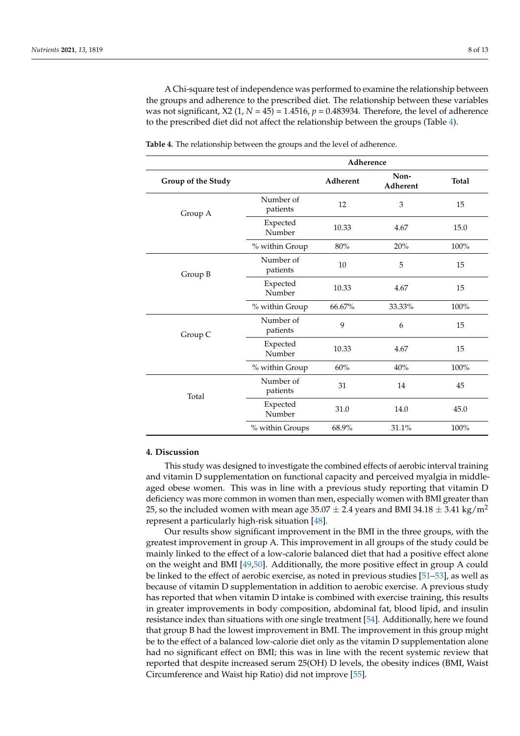A Chi-square test of independence was performed to examine the relationship between the groups and adherence to the prescribed diet. The relationship between these variables was not significant,  $X2$  (1,  $N = 45$ ) = 1.4516,  $p = 0.483934$ . Therefore, the level of adherence to the prescribed diet did not affect the relationship between the groups (Table [4\)](#page-7-0).

|                    | Adherence             |          |                  |              |
|--------------------|-----------------------|----------|------------------|--------------|
| Group of the Study |                       | Adherent | Non-<br>Adherent | <b>Total</b> |
| Group A            | Number of<br>patients | 12       | 3                | 15           |
|                    | Expected<br>Number    | 10.33    | 4.67             | 15.0         |
|                    | % within Group        | 80%      | 20%              | 100%         |
| Group B            | Number of<br>patients | 10       | 5                | 15           |
|                    | Expected<br>Number    | 10.33    | 4.67             | 15           |
|                    | % within Group        | 66.67%   | 33.33%           | 100%         |
| Group C            | Number of<br>patients | 9        | 6                | 15           |
|                    | Expected<br>Number    | 10.33    | 4.67             | 15           |
|                    | % within Group        | 60%      | 40%              | 100%         |
| Total              | Number of<br>patients | 31       | 14               | 45           |
|                    | Expected<br>Number    | 31.0     | 14.0             | 45.0         |
|                    | % within Groups       | 68.9%    | 31.1%            | 100%         |

<span id="page-7-0"></span>**Table 4.** The relationship between the groups and the level of adherence.

#### **4. Discussion**

This study was designed to investigate the combined effects of aerobic interval training and vitamin D supplementation on functional capacity and perceived myalgia in middleaged obese women. This was in line with a previous study reporting that vitamin D deficiency was more common in women than men, especially women with BMI greater than 25, so the included women with mean age  $35.07 \pm 2.4$  years and BMI 34.18  $\pm$  3.41 kg/m<sup>2</sup> represent a particularly high-risk situation [\[48\]](#page-11-19).

Our results show significant improvement in the BMI in the three groups, with the greatest improvement in group A. This improvement in all groups of the study could be mainly linked to the effect of a low-calorie balanced diet that had a positive effect alone on the weight and BMI [\[49,](#page-11-20)[50\]](#page-11-21). Additionally, the more positive effect in group A could be linked to the effect of aerobic exercise, as noted in previous studies [\[51](#page-11-22)[–53\]](#page-11-23), as well as because of vitamin D supplementation in addition to aerobic exercise. A previous study has reported that when vitamin D intake is combined with exercise training, this results in greater improvements in body composition, abdominal fat, blood lipid, and insulin resistance index than situations with one single treatment [\[54\]](#page-11-24). Additionally, here we found that group B had the lowest improvement in BMI. The improvement in this group might be to the effect of a balanced low-calorie diet only as the vitamin D supplementation alone had no significant effect on BMI; this was in line with the recent systemic review that reported that despite increased serum 25(OH) D levels, the obesity indices (BMI, Waist Circumference and Waist hip Ratio) did not improve [\[55\]](#page-11-25).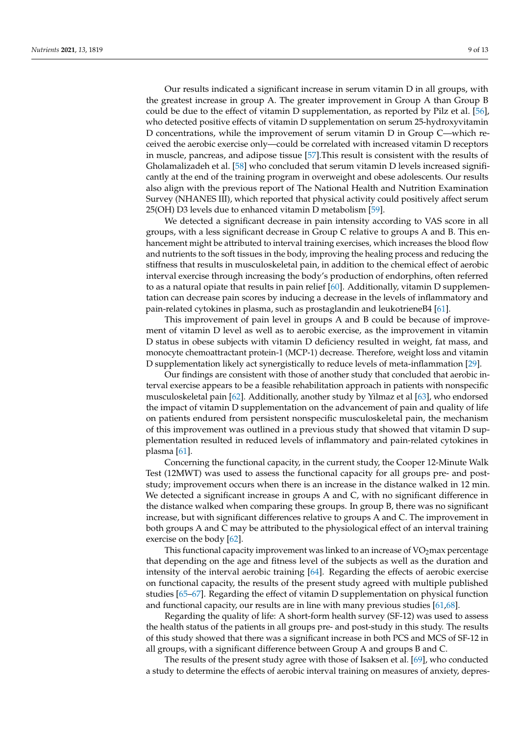Our results indicated a significant increase in serum vitamin D in all groups, with the greatest increase in group A. The greater improvement in Group A than Group B could be due to the effect of vitamin D supplementation, as reported by Pilz et al. [\[56\]](#page-12-0), who detected positive effects of vitamin D supplementation on serum 25-hydroxyvitamin D concentrations, while the improvement of serum vitamin D in Group C—which received the aerobic exercise only—could be correlated with increased vitamin D receptors in muscle, pancreas, and adipose tissue [\[57\]](#page-12-1).This result is consistent with the results of Gholamalizadeh et al. [\[58\]](#page-12-2) who concluded that serum vitamin D levels increased significantly at the end of the training program in overweight and obese adolescents. Our results also align with the previous report of The National Health and Nutrition Examination Survey (NHANES III), which reported that physical activity could positively affect serum 25(OH) D3 levels due to enhanced vitamin D metabolism [\[59\]](#page-12-3).

We detected a significant decrease in pain intensity according to VAS score in all groups, with a less significant decrease in Group C relative to groups A and B. This enhancement might be attributed to interval training exercises, which increases the blood flow and nutrients to the soft tissues in the body, improving the healing process and reducing the stiffness that results in musculoskeletal pain, in addition to the chemical effect of aerobic interval exercise through increasing the body's production of endorphins, often referred to as a natural opiate that results in pain relief [\[60\]](#page-12-4). Additionally, vitamin D supplementation can decrease pain scores by inducing a decrease in the levels of inflammatory and pain-related cytokines in plasma, such as prostaglandin and leukotrieneB4 [\[61\]](#page-12-5).

This improvement of pain level in groups A and B could be because of improvement of vitamin D level as well as to aerobic exercise, as the improvement in vitamin D status in obese subjects with vitamin D deficiency resulted in weight, fat mass, and monocyte chemoattractant protein-1 (MCP-1) decrease. Therefore, weight loss and vitamin D supplementation likely act synergistically to reduce levels of meta-inflammation [\[29\]](#page-11-0).

Our findings are consistent with those of another study that concluded that aerobic interval exercise appears to be a feasible rehabilitation approach in patients with nonspecific musculoskeletal pain [\[62\]](#page-12-6). Additionally, another study by Yilmaz et al [\[63\]](#page-12-7), who endorsed the impact of vitamin D supplementation on the advancement of pain and quality of life on patients endured from persistent nonspecific musculoskeletal pain, the mechanism of this improvement was outlined in a previous study that showed that vitamin D supplementation resulted in reduced levels of inflammatory and pain-related cytokines in plasma [\[61\]](#page-12-5).

Concerning the functional capacity, in the current study, the Cooper 12-Minute Walk Test (12MWT) was used to assess the functional capacity for all groups pre- and poststudy; improvement occurs when there is an increase in the distance walked in 12 min. We detected a significant increase in groups A and C, with no significant difference in the distance walked when comparing these groups. In group B, there was no significant increase, but with significant differences relative to groups A and C. The improvement in both groups A and C may be attributed to the physiological effect of an interval training exercise on the body [\[62\]](#page-12-6).

This functional capacity improvement was linked to an increase of  $VO<sub>2</sub>$  max percentage that depending on the age and fitness level of the subjects as well as the duration and intensity of the interval aerobic training [\[64\]](#page-12-8). Regarding the effects of aerobic exercise on functional capacity, the results of the present study agreed with multiple published studies [\[65–](#page-12-9)[67\]](#page-12-10). Regarding the effect of vitamin D supplementation on physical function and functional capacity, our results are in line with many previous studies [\[61,](#page-12-5)[68\]](#page-12-11).

Regarding the quality of life: A short-form health survey (SF-12) was used to assess the health status of the patients in all groups pre- and post-study in this study. The results of this study showed that there was a significant increase in both PCS and MCS of SF-12 in all groups, with a significant difference between Group A and groups B and C.

The results of the present study agree with those of Isaksen et al. [\[69\]](#page-12-12), who conducted a study to determine the effects of aerobic interval training on measures of anxiety, depres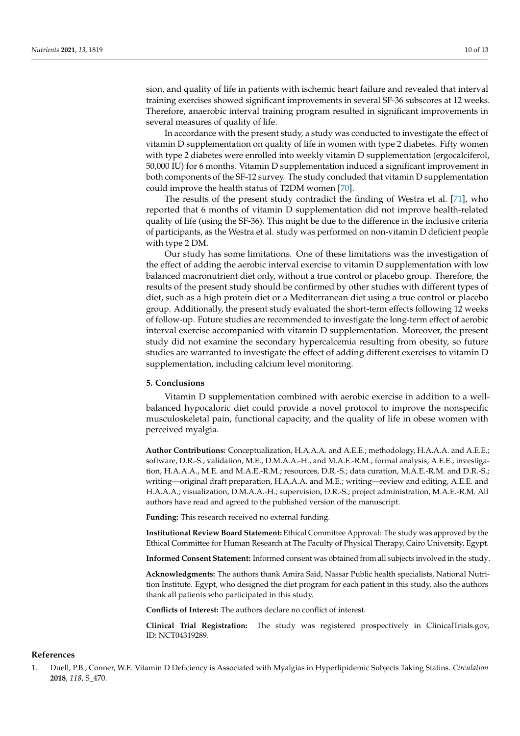sion, and quality of life in patients with ischemic heart failure and revealed that interval training exercises showed significant improvements in several SF-36 subscores at 12 weeks. Therefore, anaerobic interval training program resulted in significant improvements in several measures of quality of life.

In accordance with the present study, a study was conducted to investigate the effect of vitamin D supplementation on quality of life in women with type 2 diabetes. Fifty women with type 2 diabetes were enrolled into weekly vitamin D supplementation (ergocalciferol, 50,000 IU) for 6 months. Vitamin D supplementation induced a significant improvement in both components of the SF-12 survey. The study concluded that vitamin D supplementation could improve the health status of T2DM women [\[70\]](#page-12-13).

The results of the present study contradict the finding of Westra et al. [\[71\]](#page-12-14), who reported that 6 months of vitamin D supplementation did not improve health-related quality of life (using the SF-36). This might be due to the difference in the inclusive criteria of participants, as the Westra et al. study was performed on non-vitamin D deficient people with type 2 DM.

Our study has some limitations. One of these limitations was the investigation of the effect of adding the aerobic interval exercise to vitamin D supplementation with low balanced macronutrient diet only, without a true control or placebo group. Therefore, the results of the present study should be confirmed by other studies with different types of diet, such as a high protein diet or a Mediterranean diet using a true control or placebo group. Additionally, the present study evaluated the short-term effects following 12 weeks of follow-up. Future studies are recommended to investigate the long-term effect of aerobic interval exercise accompanied with vitamin D supplementation. Moreover, the present study did not examine the secondary hypercalcemia resulting from obesity, so future studies are warranted to investigate the effect of adding different exercises to vitamin D supplementation, including calcium level monitoring.

## **5. Conclusions**

Vitamin D supplementation combined with aerobic exercise in addition to a wellbalanced hypocaloric diet could provide a novel protocol to improve the nonspecific musculoskeletal pain, functional capacity, and the quality of life in obese women with perceived myalgia.

**Author Contributions:** Conceptualization, H.A.A.A. and A.E.E.; methodology, H.A.A.A. and A.E.E.; software, D.R.-S.; validation, M.E., D.M.A.A.-H., and M.A.E.-R.M.; formal analysis, A.E.E.; investigation, H.A.A.A., M.E. and M.A.E.-R.M.; resources, D.R.-S.; data curation, M.A.E.-R.M. and D.R.-S.; writing—original draft preparation, H.A.A.A. and M.E.; writing—review and editing, A.E.E. and H.A.A.A.; visualization, D.M.A.A.-H.; supervision, D.R.-S.; project administration, M.A.E.-R.M. All authors have read and agreed to the published version of the manuscript.

**Funding:** This research received no external funding.

**Institutional Review Board Statement:** Ethical Committee Approval: The study was approved by the Ethical Committee for Human Research at The Faculty of Physical Therapy, Cairo University, Egypt.

**Informed Consent Statement:** Informed consent was obtained from all subjects involved in the study.

**Acknowledgments:** The authors thank Amira Said, Nassar Public health specialists, National Nutrition Institute. Egypt, who designed the diet program for each patient in this study, also the authors thank all patients who participated in this study.

**Conflicts of Interest:** The authors declare no conflict of interest.

**Clinical Trial Registration:** The study was registered prospectively in ClinicalTrials.gov, ID: NCT04319289.

## **References**

<span id="page-9-0"></span>1. Duell, P.B.; Conner, W.E. Vitamin D Deficiency is Associated with Myalgias in Hyperlipidemic Subjects Taking Statins. *Circulation* **2018**, *118*, S\_470.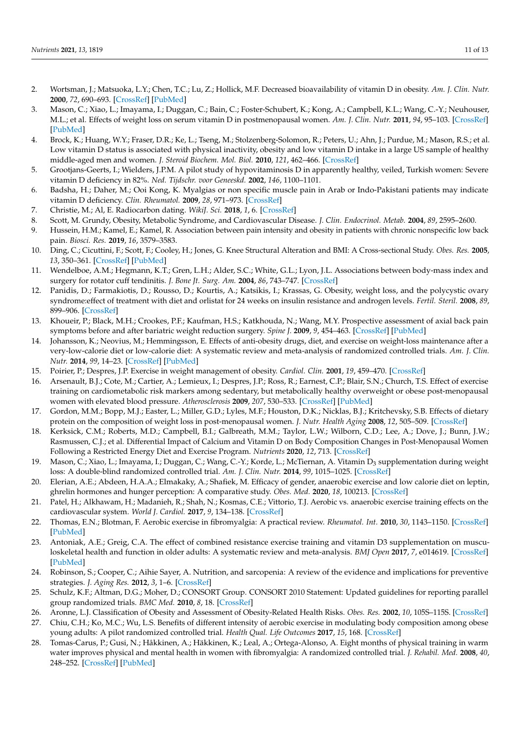- <span id="page-10-0"></span>2. Wortsman, J.; Matsuoka, L.Y.; Chen, T.C.; Lu, Z.; Hollick, M.F. Decreased bioavailability of vitamin D in obesity. *Am. J. Clin. Nutr.* **2000**, *72*, 690–693. [\[CrossRef\]](http://doi.org/10.1093/ajcn/72.3.690) [\[PubMed\]](http://www.ncbi.nlm.nih.gov/pubmed/10966885)
- <span id="page-10-1"></span>3. Mason, C.; Xiao, L.; Imayama, I.; Duggan, C.; Bain, C.; Foster-Schubert, K.; Kong, A.; Campbell, K.L.; Wang, C.-Y.; Neuhouser, M.L.; et al. Effects of weight loss on serum vitamin D in postmenopausal women. *Am. J. Clin. Nutr.* **2011**, *94*, 95–103. [\[CrossRef\]](http://doi.org/10.3945/ajcn.111.015552) [\[PubMed\]](http://www.ncbi.nlm.nih.gov/pubmed/21613554)
- <span id="page-10-2"></span>4. Brock, K.; Huang, W.Y.; Fraser, D.R.; Ke, L.; Tseng, M.; Stolzenberg-Solomon, R.; Peters, U.; Ahn, J.; Purdue, M.; Mason, R.S.; et al. Low vitamin D status is associated with physical inactivity, obesity and low vitamin D intake in a large US sample of healthy middle-aged men and women. *J. Steroid Biochem. Mol. Biol.* **2010**, *121*, 462–466. [\[CrossRef\]](http://doi.org/10.1016/j.jsbmb.2010.03.091)
- <span id="page-10-3"></span>5. Grootjans-Geerts, I.; Wielders, J.P.M. A pilot study of hypovitaminosis D in apparently healthy, veiled, Turkish women: Severe vitamin D deficiency in 82%. *Ned. Tijdschr. voor Geneeskd.* **2002**, *146*, 1100–1101.
- <span id="page-10-4"></span>6. Badsha, H.; Daher, M.; Ooi Kong, K. Myalgias or non specific muscle pain in Arab or Indo-Pakistani patients may indicate vitamin D deficiency. *Clin. Rheumatol.* **2009**, *28*, 971–973. [\[CrossRef\]](http://doi.org/10.1007/s10067-009-1146-7)
- <span id="page-10-5"></span>7. Christie, M.; Al, E. Radiocarbon dating. *WikiJ. Sci.* **2018**, *1*, 6. [\[CrossRef\]](http://doi.org/10.15347/wjs/2018.006)
- <span id="page-10-6"></span>8. Scott, M. Grundy, Obesity, Metabolic Syndrome, and Cardiovascular Disease. *J. Clin. Endocrinol. Metab.* **2004**, *89*, 2595–2600.
- <span id="page-10-7"></span>9. Hussein, H.M.; Kamel, E.; Kamel, R. Association between pain intensity and obesity in patients with chronic nonspecific low back pain. *Biosci. Res.* **2019**, *16*, 3579–3583.
- 10. Ding, C.; Cicuttini, F.; Scott, F.; Cooley, H.; Jones, G. Knee Structural Alteration and BMI: A Cross-sectional Study. *Obes. Res.* **2005**, *13*, 350–361. [\[CrossRef\]](http://doi.org/10.1038/oby.2005.47) [\[PubMed\]](http://www.ncbi.nlm.nih.gov/pubmed/15800294)
- <span id="page-10-8"></span>11. Wendelboe, A.M.; Hegmann, K.T.; Gren, L.H.; Alder, S.C.; White, G.L.; Lyon, J.L. Associations between body-mass index and surgery for rotator cuff tendinitis. *J. Bone Jt. Surg. Am.* **2004**, *86*, 743–747. [\[CrossRef\]](http://doi.org/10.2106/00004623-200404000-00011)
- <span id="page-10-9"></span>12. Panidis, D.; Farmakiotis, D.; Rousso, D.; Kourtis, A.; Katsikis, I.; Krassas, G. Obesity, weight loss, and the polycystic ovary syndrome:effect of treatment with diet and orlistat for 24 weeks on insulin resistance and androgen levels. *Fertil. Steril.* **2008**, *89*, 899–906. [\[CrossRef\]](http://doi.org/10.1016/j.fertnstert.2007.04.043)
- <span id="page-10-10"></span>13. Khoueir, P.; Black, M.H.; Crookes, P.F.; Kaufman, H.S.; Katkhouda, N.; Wang, M.Y. Prospective assessment of axial back pain symptoms before and after bariatric weight reduction surgery. *Spine J.* **2009**, *9*, 454–463. [\[CrossRef\]](http://doi.org/10.1016/j.spinee.2009.02.003) [\[PubMed\]](http://www.ncbi.nlm.nih.gov/pubmed/19356988)
- <span id="page-10-11"></span>14. Johansson, K.; Neovius, M.; Hemmingsson, E. Effects of anti-obesity drugs, diet, and exercise on weight-loss maintenance after a very-low-calorie diet or low-calorie diet: A systematic review and meta-analysis of randomized controlled trials. *Am. J. Clin. Nutr.* **2014**, *99*, 14–23. [\[CrossRef\]](http://doi.org/10.3945/ajcn.113.070052) [\[PubMed\]](http://www.ncbi.nlm.nih.gov/pubmed/24172297)
- 15. Poirier, P.; Despres, J.P. Exercise in weight management of obesity. *Cardiol. Clin.* **2001**, *19*, 459–470. [\[CrossRef\]](http://doi.org/10.1016/S0733-8651(05)70229-0)
- <span id="page-10-12"></span>16. Arsenault, B.J.; Cote, M.; Cartier, A.; Lemieux, I.; Despres, J.P.; Ross, R.; Earnest, C.P.; Blair, S.N.; Church, T.S. Effect of exercise training on cardiometabolic risk markers among sedentary, but metabolically healthy overweight or obese post-menopausal women with elevated blood pressure. *Atherosclerosis* **2009**, *207*, 530–533. [\[CrossRef\]](http://doi.org/10.1016/j.atherosclerosis.2009.05.009) [\[PubMed\]](http://www.ncbi.nlm.nih.gov/pubmed/19524243)
- <span id="page-10-13"></span>17. Gordon, M.M.; Bopp, M.J.; Easter, L.; Miller, G.D.; Lyles, M.F.; Houston, D.K.; Nicklas, B.J.; Kritchevsky, S.B. Effects of dietary protein on the composition of weight loss in post-menopausal women. *J. Nutr. Health Aging* **2008**, *12*, 505–509. [\[CrossRef\]](http://doi.org/10.1007/BF02983202)
- <span id="page-10-14"></span>18. Kerksick, C.M.; Roberts, M.D.; Campbell, B.I.; Galbreath, M.M.; Taylor, L.W.; Wilborn, C.D.; Lee, A.; Dove, J.; Bunn, J.W.; Rasmussen, C.J.; et al. Differential Impact of Calcium and Vitamin D on Body Composition Changes in Post-Menopausal Women Following a Restricted Energy Diet and Exercise Program. *Nutrients* **2020**, *12*, 713. [\[CrossRef\]](http://doi.org/10.3390/nu12030713)
- <span id="page-10-15"></span>19. Mason, C.; Xiao, L.; Imayama, I.; Duggan, C.; Wang, C.-Y.; Korde, L.; McTiernan, A. Vitamin D<sub>3</sub> supplementation during weight loss: A double-blind randomized controlled trial. *Am. J. Clin. Nutr.* **2014**, *99*, 1015–1025. [\[CrossRef\]](http://doi.org/10.3945/ajcn.113.073734)
- <span id="page-10-16"></span>20. Elerian, A.E.; Abdeen, H.A.A.; Elmakaky, A.; Shafiek, M. Efficacy of gender, anaerobic exercise and low calorie diet on leptin, ghrelin hormones and hunger perception: A comparative study. *Obes. Med.* **2020**, *18*, 100213. [\[CrossRef\]](http://doi.org/10.1016/j.obmed.2020.100213)
- <span id="page-10-17"></span>21. Patel, H.; Alkhawam, H.; Madanieh, R.; Shah, N.; Kosmas, C.E.; Vittorio, T.J. Aerobic vs. anaerobic exercise training effects on the cardiovascular system. *World J. Cardiol.* **2017**, *9*, 134–138. [\[CrossRef\]](http://doi.org/10.4330/wjc.v9.i2.134)
- <span id="page-10-18"></span>22. Thomas, E.N.; Blotman, F. Aerobic exercise in fibromyalgia: A practical review. *Rheumatol. Int.* **2010**, *30*, 1143–1150. [\[CrossRef\]](http://doi.org/10.1007/s00296-010-1369-6) [\[PubMed\]](http://www.ncbi.nlm.nih.gov/pubmed/20340025)
- <span id="page-10-19"></span>23. Antoniak, A.E.; Greig, C.A. The effect of combined resistance exercise training and vitamin D3 supplementation on musculoskeletal health and function in older adults: A systematic review and meta-analysis. *BMJ Open* **2017**, *7*, e014619. [\[CrossRef\]](http://doi.org/10.1136/bmjopen-2016-014619) [\[PubMed\]](http://www.ncbi.nlm.nih.gov/pubmed/28729308)
- <span id="page-10-20"></span>24. Robinson, S.; Cooper, C.; Aihie Sayer, A. Nutrition, and sarcopenia: A review of the evidence and implications for preventive strategies. *J. Aging Res.* **2012**, *3*, 1–6. [\[CrossRef\]](http://doi.org/10.1155/2012/510801)
- <span id="page-10-21"></span>25. Schulz, K.F.; Altman, D.G.; Moher, D.; CONSORT Group. CONSORT 2010 Statement: Updated guidelines for reporting parallel group randomized trials. *BMC Med.* **2010**, *8*, 18. [\[CrossRef\]](http://doi.org/10.1186/1741-7015-8-18)
- <span id="page-10-22"></span>26. Aronne, L.J. Classification of Obesity and Assessment of Obesity-Related Health Risks. *Obes. Res.* **2002**, *10*, 105S–115S. [\[CrossRef\]](http://doi.org/10.1038/oby.2002.203)
- <span id="page-10-23"></span>27. Chiu, C.H.; Ko, M.C.; Wu, L.S. Benefits of different intensity of aerobic exercise in modulating body composition among obese young adults: A pilot randomized controlled trial. *Health Qual. Life Outcomes* **2017**, *15*, 168. [\[CrossRef\]](http://doi.org/10.1186/s12955-017-0743-4)
- <span id="page-10-24"></span>28. Tomas-Carus, P.; Gusi, N.; Hâkkinen, A.; Häkkinen, K.; Leal, A.; Ortega-Alonso, A. Eight months of physical training in warm water improves physical and mental health in women with fibromyalgia: A randomized controlled trial. *J. Rehabil. Med.* **2008**, *40*, 248–252. [\[CrossRef\]](http://doi.org/10.2340/16501977-0168) [\[PubMed\]](http://www.ncbi.nlm.nih.gov/pubmed/18382819)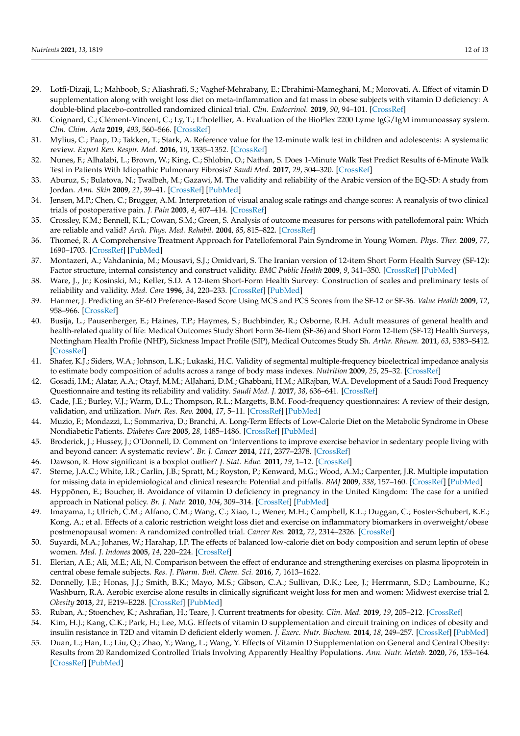- <span id="page-11-0"></span>29. Lotfi-Dizaji, L.; Mahboob, S.; Aliashrafi, S.; Vaghef-Mehrabany, E.; Ebrahimi-Mameghani, M.; Morovati, A. Effect of vitamin D supplementation along with weight loss diet on meta-inflammation and fat mass in obese subjects with vitamin D deficiency: A double-blind placebo-controlled randomized clinical trial. *Clin. Endocrinol.* **2019**, *90*, 94–101. [\[CrossRef\]](http://doi.org/10.1111/cen.13861)
- <span id="page-11-1"></span>30. Coignard, C.; Clément-Vincent, C.; Ly, T.; L'hotellier, A. Evaluation of the BioPlex 2200 Lyme IgG/IgM immunoassay system. *Clin. Chim. Acta* **2019**, *493*, 560–566. [\[CrossRef\]](http://doi.org/10.1016/j.cca.2019.03.1176)
- <span id="page-11-2"></span>31. Mylius, C.; Paap, D.; Takken, T.; Stark, A. Reference value for the 12-minute walk test in children and adolescents: A systematic review. *Expert Rev. Respir. Med.* **2016**, *10*, 1335–1352. [\[CrossRef\]](http://doi.org/10.1080/17476348.2016.1258305)
- <span id="page-11-3"></span>32. Nunes, F.; Alhalabi, L.; Brown, W.; King, C.; Shlobin, O.; Nathan, S. Does 1-Minute Walk Test Predict Results of 6-Minute Walk Test in Patients With Idiopathic Pulmonary Fibrosis? *Saudi Med.* **2017**, *29*, 304–320. [\[CrossRef\]](http://doi.org/10.1016/j.chest.2017.08.513)
- <span id="page-11-4"></span>33. Aburuz, S.; Bulatova, N.; Twalbeh, M.; Gazawi, M. The validity and reliability of the Arabic version of the EQ-5D: A study from Jordan. *Ann. Skin* **2009**, *21*, 39–41. [\[CrossRef\]](http://doi.org/10.4103/0256-4947.55313) [\[PubMed\]](http://www.ncbi.nlm.nih.gov/pubmed/19584581)
- <span id="page-11-5"></span>34. Jensen, M.P.; Chen, C.; Brugger, A.M. Interpretation of visual analog scale ratings and change scores: A reanalysis of two clinical trials of postoperative pain. *J. Pain* **2003**, *4*, 407–414. [\[CrossRef\]](http://doi.org/10.1016/S1526-5900(03)00716-8)
- <span id="page-11-6"></span>35. Crossley, K.M.; Bennell, K.L.; Cowan, S.M.; Green, S. Analysis of outcome measures for persons with patellofemoral pain: Which are reliable and valid? *Arch. Phys. Med. Rehabil.* **2004**, *85*, 815–822. [\[CrossRef\]](http://doi.org/10.1016/S0003-9993(03)00613-0)
- <span id="page-11-7"></span>36. Thomeé, R. A Comprehensive Treatment Approach for Patellofemoral Pain Syndrome in Young Women. *Phys. Ther.* **2009**, *77*, 1690–1703. [\[CrossRef\]](http://doi.org/10.1093/ptj/77.12.1690) [\[PubMed\]](http://www.ncbi.nlm.nih.gov/pubmed/9413448)
- <span id="page-11-8"></span>37. Montazeri, A.; Vahdaninia, M.; Mousavi, S.J.; Omidvari, S. The Iranian version of 12-item Short Form Health Survey (SF-12): Factor structure, internal consistency and construct validity. *BMC Public Health* **2009**, *9*, 341–350. [\[CrossRef\]](http://doi.org/10.1186/1471-2458-9-341) [\[PubMed\]](http://www.ncbi.nlm.nih.gov/pubmed/19758427)
- <span id="page-11-9"></span>38. Ware, J., Jr.; Kosinski, M.; Keller, S.D. A 12-item Short-Form Health Survey: Construction of scales and preliminary tests of reliability and validity. *Med. Care* **1996**, *34*, 220–233. [\[CrossRef\]](http://doi.org/10.1097/00005650-199603000-00003) [\[PubMed\]](http://www.ncbi.nlm.nih.gov/pubmed/8628042)
- <span id="page-11-10"></span>39. Hanmer, J. Predicting an SF-6D Preference-Based Score Using MCS and PCS Scores from the SF-12 or SF-36. *Value Health* **2009**, *12*, 958–966. [\[CrossRef\]](http://doi.org/10.1111/j.1524-4733.2009.00535.x)
- <span id="page-11-11"></span>40. Busija, L.; Pausenberger, E.; Haines, T.P.; Haymes, S.; Buchbinder, R.; Osborne, R.H. Adult measures of general health and health-related quality of life: Medical Outcomes Study Short Form 36-Item (SF-36) and Short Form 12-Item (SF-12) Health Surveys, Nottingham Health Profile (NHP), Sickness Impact Profile (SIP), Medical Outcomes Study Sh. *Arthr. Rheum.* **2011**, *63*, S383–S412. [\[CrossRef\]](http://doi.org/10.1002/acr.20541)
- <span id="page-11-12"></span>41. Shafer, K.J.; Siders, W.A.; Johnson, L.K.; Lukaski, H.C. Validity of segmental multiple-frequency bioelectrical impedance analysis to estimate body composition of adults across a range of body mass indexes. *Nutrition* **2009**, *25*, 25–32. [\[CrossRef\]](http://doi.org/10.1016/j.nut.2008.07.004)
- <span id="page-11-13"></span>42. Gosadi, I.M.; Alatar, A.A.; Otayf, M.M.; AlJahani, D.M.; Ghabbani, H.M.; AlRajban, W.A. Development of a Saudi Food Frequency Questionnaire and testing its reliability and validity. *Saudi Med. J.* **2017**, *38*, 636–641. [\[CrossRef\]](http://doi.org/10.15537/smj.2017.6.20055)
- <span id="page-11-14"></span>43. Cade, J.E.; Burley, V.J.; Warm, D.L.; Thompson, R.L.; Margetts, B.M. Food-frequency questionnaires: A review of their design, validation, and utilization. *Nutr. Res. Rev.* **2004**, *17*, 5–11. [\[CrossRef\]](http://doi.org/10.1079/NRR200370) [\[PubMed\]](http://www.ncbi.nlm.nih.gov/pubmed/19079912)
- <span id="page-11-15"></span>44. Muzio, F.; Mondazzi, L.; Sommariva, D.; Branchi, A. Long-Term Effects of Low-Calorie Diet on the Metabolic Syndrome in Obese Nondiabetic Patients. *Diabetes Care* **2005**, *28*, 1485–1486. [\[CrossRef\]](http://doi.org/10.2337/diacare.28.6.1485) [\[PubMed\]](http://www.ncbi.nlm.nih.gov/pubmed/15920073)
- <span id="page-11-16"></span>45. Broderick, J.; Hussey, J.; O'Donnell, D. Comment on 'Interventions to improve exercise behavior in sedentary people living with and beyond cancer: A systematic review'. *Br. J. Cancer* **2014**, *111*, 2377–2378. [\[CrossRef\]](http://doi.org/10.1038/bjc.2014.248)
- <span id="page-11-17"></span>46. Dawson, R. How significant is a boxplot outlier? *J. Stat. Educ.* **2011**, *19*, 1–12. [\[CrossRef\]](http://doi.org/10.1080/10691898.2011.11889610)
- <span id="page-11-18"></span>47. Sterne, J.A.C.; White, I.R.; Carlin, J.B.; Spratt, M.; Royston, P.; Kenward, M.G.; Wood, A.M.; Carpenter, J.R. Multiple imputation for missing data in epidemiological and clinical research: Potential and pitfalls. *BMJ* **2009**, *338*, 157–160. [\[CrossRef\]](http://doi.org/10.1136/bmj.b2393) [\[PubMed\]](http://www.ncbi.nlm.nih.gov/pubmed/19564179)
- <span id="page-11-19"></span>48. Hyppönen, E.; Boucher, B. Avoidance of vitamin D deficiency in pregnancy in the United Kingdom: The case for a unified approach in National policy. *Br. J. Nutr.* **2010**, *104*, 309–314. [\[CrossRef\]](http://doi.org/10.1017/S0007114510002436) [\[PubMed\]](http://www.ncbi.nlm.nih.gov/pubmed/20594390)
- <span id="page-11-20"></span>49. Imayama, I.; Ulrich, C.M.; Alfano, C.M.; Wang, C.; Xiao, L.; Wener, M.H.; Campbell, K.L.; Duggan, C.; Foster-Schubert, K.E.; Kong, A.; et al. Effects of a caloric restriction weight loss diet and exercise on inflammatory biomarkers in overweight/obese postmenopausal women: A randomized controlled trial. *Cancer Res.* **2012**, *72*, 2314–2326. [\[CrossRef\]](http://doi.org/10.1158/0008-5472.CAN-11-3092)
- <span id="page-11-21"></span>50. Suyardi, M.A.; Johanes, W.; Harahap, I.P. The effects of balanced low-calorie diet on body composition and serum leptin of obese women. *Med. J. Indones* **2005**, *14*, 220–224. [\[CrossRef\]](http://doi.org/10.13181/mji.v14i4.202)
- <span id="page-11-22"></span>51. Elerian, A.E.; Ali, M.E.; Ali, N. Comparison between the effect of endurance and strengthening exercises on plasma lipoprotein in central obese female subjects. *Res. J. Pharm. Boil. Chem. Sci.* **2016**, *7*, 1613–1622.
- 52. Donnelly, J.E.; Honas, J.J.; Smith, B.K.; Mayo, M.S.; Gibson, C.A.; Sullivan, D.K.; Lee, J.; Herrmann, S.D.; Lambourne, K.; Washburn, R.A. Aerobic exercise alone results in clinically significant weight loss for men and women: Midwest exercise trial 2. *Obesity* **2013**, *21*, E219–E228. [\[CrossRef\]](http://doi.org/10.1002/oby.20145) [\[PubMed\]](http://www.ncbi.nlm.nih.gov/pubmed/23592678)
- <span id="page-11-23"></span>53. Ruban, A.; Stoenchev, K.; Ashrafian, H.; Teare, J. Current treatments for obesity. *Clin. Med.* **2019**, *19*, 205–212. [\[CrossRef\]](http://doi.org/10.7861/clinmedicine.19-3-205)
- <span id="page-11-24"></span>54. Kim, H.J.; Kang, C.K.; Park, H.; Lee, M.G. Effects of vitamin D supplementation and circuit training on indices of obesity and insulin resistance in T2D and vitamin D deficient elderly women. *J. Exerc. Nutr. Biochem.* **2014**, *18*, 249–257. [\[CrossRef\]](http://doi.org/10.5717/jenb.2014.18.3.249) [\[PubMed\]](http://www.ncbi.nlm.nih.gov/pubmed/25566461)
- <span id="page-11-25"></span>55. Duan, L.; Han, L.; Liu, Q.; Zhao, Y.; Wang, L.; Wang, Y. Effects of Vitamin D Supplementation on General and Central Obesity: Results from 20 Randomized Controlled Trials Involving Apparently Healthy Populations. *Ann. Nutr. Metab.* **2020**, *76*, 153–164. [\[CrossRef\]](http://doi.org/10.1159/000507418) [\[PubMed\]](http://www.ncbi.nlm.nih.gov/pubmed/32645694)